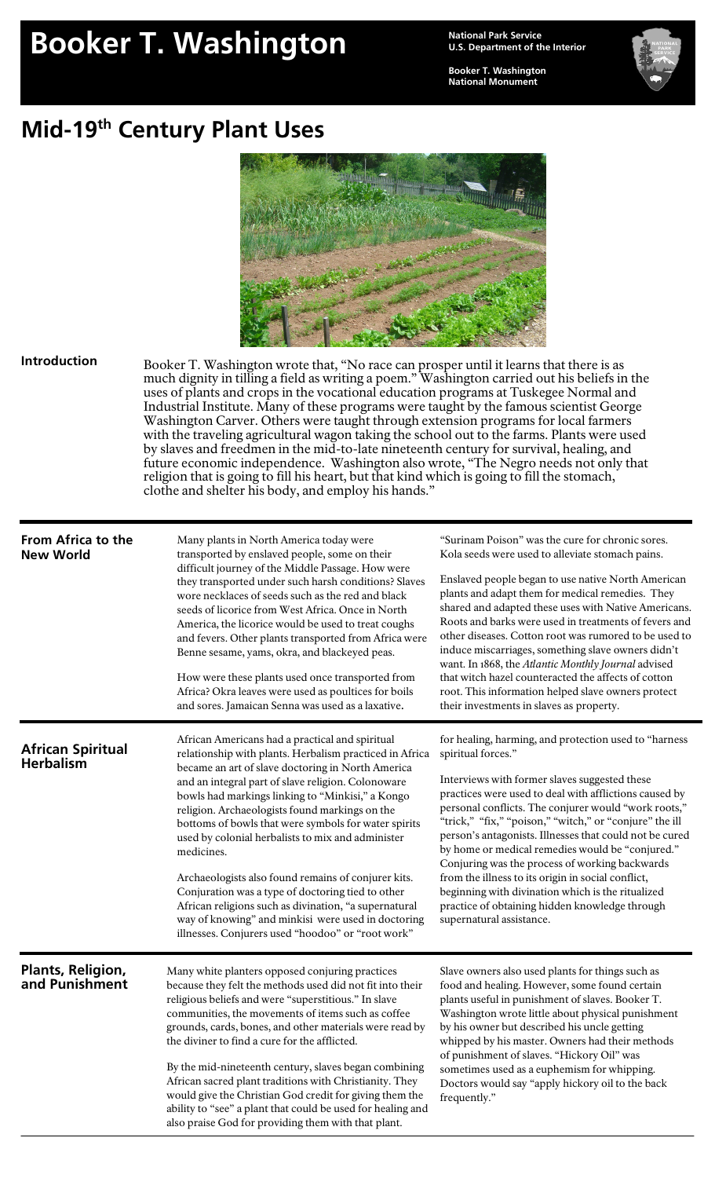# **Booker T. Washington Mational Park Service**

**U.S. Department of the Interior** 

**Booker T. Washington National Monument** 



## **Mid-19th Century Plant Uses**



#### **Introduction**

Booker T. Washington wrote that, "No race can prosper until it learns that there is as much dignity in tilling a field as writing a poem." Washington carried out his beliefs in the uses of plants and crops in the vocational education programs at Tuskegee Normal and Industrial Institute. Many of these programs were taught by the famous scientist George Washington Carver. Others were taught through extension programs for local farmers with the traveling agricultural wagon taking the school out to the farms. Plants were used by slaves and freedmen in the mid-to-late nineteenth century for survival, healing, and future economic independence. Washington also wrote, "The Negro needs not only that religion that is going to fill his heart, but that kind which is going to fill the stomach, clothe and shelter his body, and employ his hands."

| <b>From Africa to the</b><br><b>New World</b> | Many plants in North America today were<br>transported by enslaved people, some on their<br>difficult journey of the Middle Passage. How were<br>they transported under such harsh conditions? Slaves<br>wore necklaces of seeds such as the red and black<br>seeds of licorice from West Africa. Once in North<br>America, the licorice would be used to treat coughs<br>and fevers. Other plants transported from Africa were<br>Benne sesame, yams, okra, and blackeyed peas.<br>How were these plants used once transported from<br>Africa? Okra leaves were used as poultices for boils<br>and sores. Jamaican Senna was used as a laxative.                                                                                      | "Surinam Poison" was the cure for chronic sores.<br>Kola seeds were used to alleviate stomach pains.<br>Enslaved people began to use native North American<br>plants and adapt them for medical remedies. They<br>shared and adapted these uses with Native Americans.<br>Roots and barks were used in treatments of fevers and<br>other diseases. Cotton root was rumored to be used to<br>induce miscarriages, something slave owners didn't<br>want. In 1868, the Atlantic Monthly Journal advised<br>that witch hazel counteracted the affects of cotton<br>root. This information helped slave owners protect<br>their investments in slaves as property.      |
|-----------------------------------------------|----------------------------------------------------------------------------------------------------------------------------------------------------------------------------------------------------------------------------------------------------------------------------------------------------------------------------------------------------------------------------------------------------------------------------------------------------------------------------------------------------------------------------------------------------------------------------------------------------------------------------------------------------------------------------------------------------------------------------------------|---------------------------------------------------------------------------------------------------------------------------------------------------------------------------------------------------------------------------------------------------------------------------------------------------------------------------------------------------------------------------------------------------------------------------------------------------------------------------------------------------------------------------------------------------------------------------------------------------------------------------------------------------------------------|
| <b>African Spiritual</b><br><b>Herbalism</b>  | African Americans had a practical and spiritual<br>relationship with plants. Herbalism practiced in Africa<br>became an art of slave doctoring in North America<br>and an integral part of slave religion. Colonoware<br>bowls had markings linking to "Minkisi," a Kongo<br>religion. Archaeologists found markings on the<br>bottoms of bowls that were symbols for water spirits<br>used by colonial herbalists to mix and administer<br>medicines.<br>Archaeologists also found remains of conjurer kits.<br>Conjuration was a type of doctoring tied to other<br>African religions such as divination, "a supernatural<br>way of knowing" and minkisi were used in doctoring<br>illnesses. Conjurers used "hoodoo" or "root work" | for healing, harming, and protection used to "harness<br>spiritual forces."<br>Interviews with former slaves suggested these<br>practices were used to deal with afflictions caused by<br>personal conflicts. The conjurer would "work roots,"<br>"trick," "fix," "poison," "witch," or "conjure" the ill<br>person's antagonists. Illnesses that could not be cured<br>by home or medical remedies would be "conjured."<br>Conjuring was the process of working backwards<br>from the illness to its origin in social conflict,<br>beginning with divination which is the ritualized<br>practice of obtaining hidden knowledge through<br>supernatural assistance. |
| <b>Plants, Religion,<br/>and Punishment</b>   | Many white planters opposed conjuring practices<br>because they felt the methods used did not fit into their<br>religious beliefs and were "superstitious." In slave<br>communities, the movements of items such as coffee<br>grounds, cards, bones, and other materials were read by<br>the diviner to find a cure for the afflicted.<br>By the mid-nineteenth century, slaves began combining<br>African sacred plant traditions with Christianity. They<br>would give the Christian God credit for giving them the<br>ability to "see" a plant that could be used for healing and<br>also praise God for providing them with that plant.                                                                                            | Slave owners also used plants for things such as<br>food and healing. However, some found certain<br>plants useful in punishment of slaves. Booker T.<br>Washington wrote little about physical punishment<br>by his owner but described his uncle getting<br>whipped by his master. Owners had their methods<br>of punishment of slaves. "Hickory Oil" was<br>sometimes used as a euphemism for whipping.<br>Doctors would say "apply hickory oil to the back<br>frequently."                                                                                                                                                                                      |